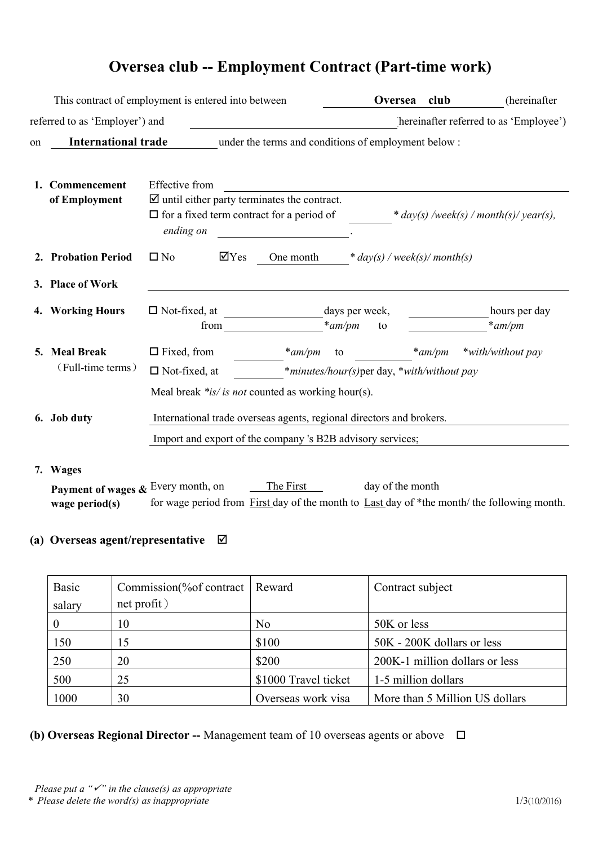# **Oversea club -- Employment Contract (Part-time work)**

|    |                                                                                   | This contract of employment is entered into between                                                                                               | Oversea                                    | club      | (hereinafter                           |
|----|-----------------------------------------------------------------------------------|---------------------------------------------------------------------------------------------------------------------------------------------------|--------------------------------------------|-----------|----------------------------------------|
|    | referred to as 'Employer') and                                                    |                                                                                                                                                   |                                            |           | hereinafter referred to as 'Employee') |
| on | <b>International trade</b><br>under the terms and conditions of employment below: |                                                                                                                                                   |                                            |           |                                        |
|    | 1. Commencement<br>of Employment                                                  | <b>Effective</b> from<br>$\boxtimes$ until either party terminates the contract.<br>$\Box$ for a fixed term contract for a period of<br>ending on |                                            |           | * day(s) /week(s) / month(s)/ year(s), |
|    | 2. Probation Period                                                               | $\overline{\mathsf{y}}$ Yes<br>$\square$ No<br>One month                                                                                          | * $day(s)$ / week(s)/ month(s)             |           |                                        |
|    | 3. Place of Work                                                                  |                                                                                                                                                   |                                            |           |                                        |
|    | 4. Working Hours                                                                  | $\Box$ Not-fixed, at<br>$*$ am/pm<br>from                                                                                                         | days per week,<br>to                       |           | hours per day<br>$*am/m$               |
|    | 5. Meal Break<br>(Full-time terms)                                                | $\Box$ Fixed, from<br>$*$ am/pm<br>to<br>$\Box$ Not-fixed, at<br>Meal break $*is/is$ <i>not</i> counted as working hour(s).                       | *minutes/hour(s)per day, *with/without pay | $*$ am/pm | *with/without pay                      |
|    | 6. Job duty                                                                       | International trade overseas agents, regional directors and brokers.<br>Import and export of the company 's B2B advisory services;                |                                            |           |                                        |
|    | 7. Wages<br>Payment of wages & Every month, on<br>wage period $(s)$               | The First<br>for wage period from First day of the month to Last day of *the month/ the following month.                                          | day of the month                           |           |                                        |

## **(a) Overseas agent/representative**

| Basic<br>salary | Commission(% of contract   Reward<br>net profit) |                      | Contract subject               |
|-----------------|--------------------------------------------------|----------------------|--------------------------------|
|                 | 10                                               | N <sub>0</sub>       | 50K or less                    |
| 150             | 15                                               | \$100                | 50K - 200K dollars or less     |
| 250             | 20                                               | \$200                | 200K-1 million dollars or less |
| 500             | 25                                               | \$1000 Travel ticket | 1-5 million dollars            |
| 1000            | 30                                               | Overseas work visa   | More than 5 Million US dollars |

## **(b) Overseas Regional Director --** Management team of 10 overseas agents orabove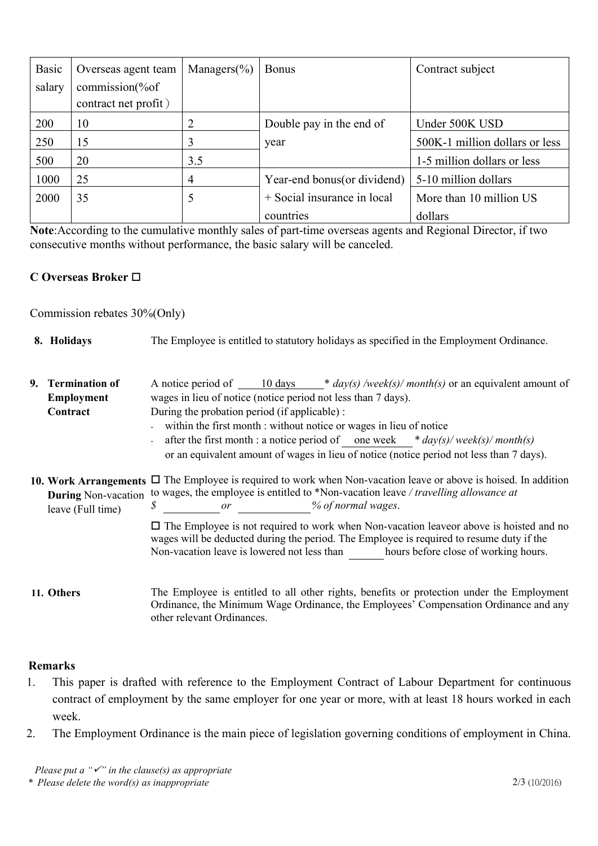| <b>Basic</b> | Overseas agent team  | Managers $(\% )$ | <b>Bonus</b>                 | Contract subject               |
|--------------|----------------------|------------------|------------------------------|--------------------------------|
| salary       | commission(%of       |                  |                              |                                |
|              | contract net profit) |                  |                              |                                |
| 200          | 10                   |                  | Double pay in the end of     | Under 500K USD                 |
| 250          | 15                   |                  | year                         | 500K-1 million dollars or less |
| 500          | 20                   | 3.5              |                              | 1-5 million dollars or less    |
| 1000         | 25                   | 4                | Year-end bonus (or dividend) | 5-10 million dollars           |
| 2000         | 35                   |                  | + Social insurance in local  | More than 10 million US        |
|              |                      |                  | countries                    | dollars                        |

**Note:**According to the cumulative monthly sales of part-time overseas agents and Regional Director, if two consecutive months without performance, the basic salary will be canceled.

### **C Overseas Broker**

Commission rebates 30%(Only)

| 8. Holidays                                                                                                                                                                                                                                                                            | The Employee is entitled to statutory holidays as specified in the Employment Ordinance.                                                                                                                                                                                      |  |  |  |
|----------------------------------------------------------------------------------------------------------------------------------------------------------------------------------------------------------------------------------------------------------------------------------------|-------------------------------------------------------------------------------------------------------------------------------------------------------------------------------------------------------------------------------------------------------------------------------|--|--|--|
| 9. Termination of<br><b>Employment</b>                                                                                                                                                                                                                                                 | A notice period of $\frac{10 \text{ days}}{4 \text{ sys}}$ * $\frac{day(s)}{week(s)}$ month(s) or an equivalent amount of<br>wages in lieu of notice (notice period not less than 7 days).                                                                                    |  |  |  |
| Contract                                                                                                                                                                                                                                                                               | During the probation period (if applicable) :<br>- within the first month : without notice or wages in lieu of notice                                                                                                                                                         |  |  |  |
|                                                                                                                                                                                                                                                                                        | after the first month : a notice period of one week $*day(s)/weak(s)/month(s)$<br>or an equivalent amount of wages in lieu of notice (notice period not less than 7 days).                                                                                                    |  |  |  |
| 10. Work Arrangements $\Box$ The Employee is required to work when Non-vacation leave or above is hoised. In addition<br>During Non-vacation to wages, the employee is entitled to *Non-vacation leave / travelling allowance at<br>% of normal wages.<br>S<br>or<br>leave (Full time) |                                                                                                                                                                                                                                                                               |  |  |  |
|                                                                                                                                                                                                                                                                                        | $\Box$ The Employee is not required to work when Non-vacation leaveor above is hoisted and no<br>wages will be deducted during the period. The Employee is required to resume duty if the<br>Non-vacation leave is lowered not less than hours before close of working hours. |  |  |  |
| 11. Others                                                                                                                                                                                                                                                                             | The Employee is entitled to all other rights, benefits or protection under the Employment<br>Ordinance, the Minimum Wage Ordinance, the Employees' Compensation Ordinance and any                                                                                             |  |  |  |

#### **Remarks**

1. This paper is drafted with reference to the Employment Contract of Labour Department for continuous contract of employment by the same employer for one year or more, with at least 18 hours worked in each week.

other relevant Ordinances.

2. The Employment Ordinance is the main piece of legislation governing conditions of employment in China.